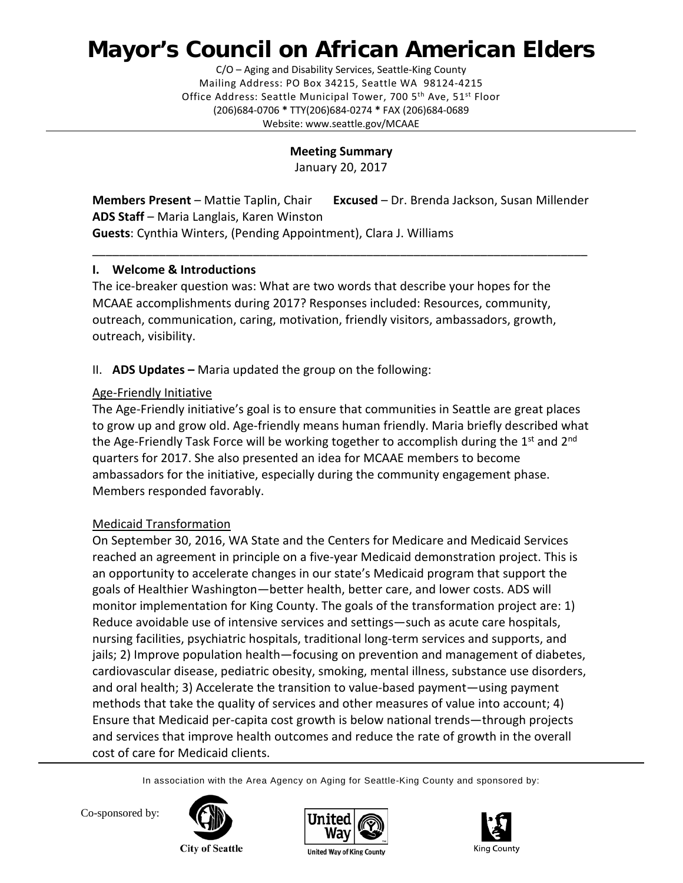# **Mayor's Council on African American Elders**

C/O – Aging and Disability Services, Seattle-King County Mailing Address: PO Box 34215, Seattle WA 98124-4215 Office Address: Seattle Municipal Tower, 700 5<sup>th</sup> Ave, 51<sup>st</sup> Floor (206)684-0706 **\*** TTY(206)684-0274 **\*** FAX (206)684-0689 Website: www.seattle.gov/MCAAE

#### **Meeting Summary**

January 20, 2017

**Members Present** – Mattie Taplin, Chair **Excused** – Dr. Brenda Jackson, Susan Millender **ADS Staff** – Maria Langlais, Karen Winston **Guests**: Cynthia Winters, (Pending Appointment), Clara J. Williams

\_\_\_\_\_\_\_\_\_\_\_\_\_\_\_\_\_\_\_\_\_\_\_\_\_\_\_\_\_\_\_\_\_\_\_\_\_\_\_\_\_\_\_\_\_\_\_\_\_\_\_\_\_\_\_\_\_\_\_\_\_\_\_\_\_\_\_\_\_\_\_\_\_\_

## **I. Welcome & Introductions**

The ice-breaker question was: What are two words that describe your hopes for the MCAAE accomplishments during 2017? Responses included: Resources, community, outreach, communication, caring, motivation, friendly visitors, ambassadors, growth, outreach, visibility.

## II. **ADS Updates –** Maria updated the group on the following:

## Age-Friendly Initiative

The Age-Friendly initiative's goal is to ensure that communities in Seattle are great places to grow up and grow old. Age-friendly means human friendly. Maria briefly described what the Age-Friendly Task Force will be working together to accomplish during the  $1<sup>st</sup>$  and  $2<sup>nd</sup>$ quarters for 2017. She also presented an idea for MCAAE members to become ambassadors for the initiative, especially during the community engagement phase. Members responded favorably.

# Medicaid Transformation

On September 30, 2016, WA State and the Centers for Medicare and Medicaid Services reached an agreement in principle on a five-year Medicaid demonstration project. This is an opportunity to accelerate changes in our state's Medicaid program that support the goals of Healthier Washington—better health, better care, and lower costs. ADS will monitor implementation for King County. The goals of the transformation project are: 1) Reduce avoidable use of intensive services and settings—such as acute care hospitals, nursing facilities, psychiatric hospitals, traditional long-term services and supports, and jails; 2) Improve population health—focusing on prevention and management of diabetes, cardiovascular disease, pediatric obesity, smoking, mental illness, substance use disorders, and oral health; 3) Accelerate the transition to value-based payment—using payment methods that take the quality of services and other measures of value into account; 4) Ensure that Medicaid per-capita cost growth is below national trends—through projects and services that improve health outcomes and reduce the rate of growth in the overall cost of care for Medicaid clients.

In association with the Area Agency on Aging for Seattle-King County and sponsored by:



Co-sponsored by:

**City of Seattle** 





**United Way of King County**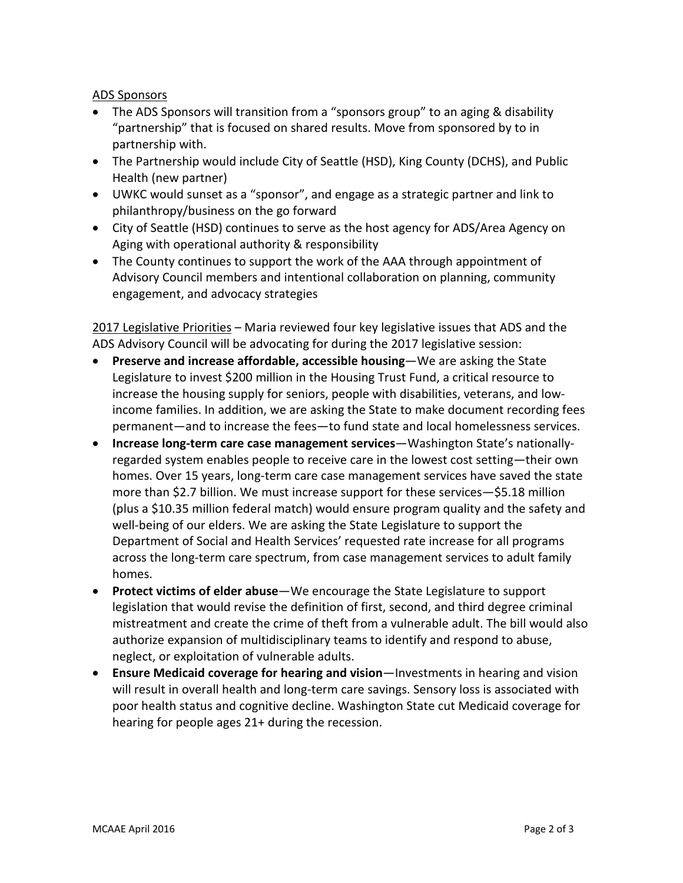#### ADS Sponsors

- The ADS Sponsors will transition from a "sponsors group" to an aging & disability "partnership" that is focused on shared results. Move from sponsored by to in partnership with.
- The Partnership would include City of Seattle (HSD), King County (DCHS), and Public Health (new partner)
- UWKC would sunset as a "sponsor", and engage as a strategic partner and link to philanthropy/business on the go forward
- City of Seattle (HSD) continues to serve as the host agency for ADS/Area Agency on Aging with operational authority & responsibility
- The County continues to support the work of the AAA through appointment of Advisory Council members and intentional collaboration on planning, community engagement, and advocacy strategies

2017 Legislative Priorities – Maria reviewed four key legislative issues that ADS and the ADS Advisory Council will be advocating for during the 2017 legislative session:

- **Preserve and increase affordable, accessible housing**—We are asking the State Legislature to invest \$200 million in the Housing Trust Fund, a critical resource to increase the housing supply for seniors, people with disabilities, veterans, and lowincome families. In addition, we are asking the State to make document recording fees permanent—and to increase the fees—to fund state and local homelessness services.
- **Increase long-term care case management services**—Washington State's nationallyregarded system enables people to receive care in the lowest cost setting—their own homes. Over 15 years, long-term care case management services have saved the state more than \$2.7 billion. We must increase support for these services—\$5.18 million (plus a \$10.35 million federal match) would ensure program quality and the safety and well-being of our elders. We are asking the State Legislature to support the Department of Social and Health Services' requested rate increase for all programs across the long-term care spectrum, from case management services to adult family homes.
- **Protect victims of elder abuse**—We encourage the State Legislature to support legislation that would revise the definition of first, second, and third degree criminal mistreatment and create the crime of theft from a vulnerable adult. The bill would also authorize expansion of multidisciplinary teams to identify and respond to abuse, neglect, or exploitation of vulnerable adults.
- **Ensure Medicaid coverage for hearing and vision**—Investments in hearing and vision will result in overall health and long-term care savings. Sensory loss is associated with poor health status and cognitive decline. Washington State cut Medicaid coverage for hearing for people ages 21+ during the recession.